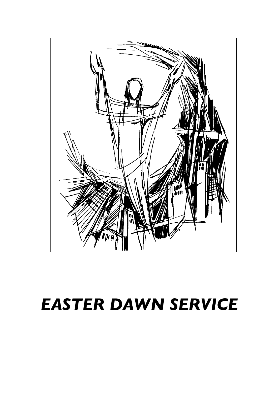

# *EASTER DAWN SERVICE*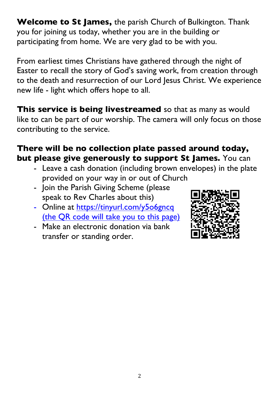**Welcome to St James,** the parish Church of Bulkington. Thank you for joining us today, whether you are in the building or participating from home. We are very glad to be with you.

From earliest times Christians have gathered through the night of Easter to recall the story of God's saving work, from creation through to the death and resurrection of our Lord Jesus Christ. We experience new life - light which offers hope to all.

**This service is being livestreamed** so that as many as would like to can be part of our worship. The camera will only focus on those contributing to the service.

#### **There will be no collection plate passed around today, but please give generously to support St James.** You can

- Leave a cash donation (including brown envelopes) in the plate provided on your way in or out of Church
- Join the Parish Giving Scheme (please speak to Rev Charles about this)
- Online at https://tinyurl.com/y506gncq (the QR code will take you to this page)
- Make an electronic donation via bank transfer or standing order.

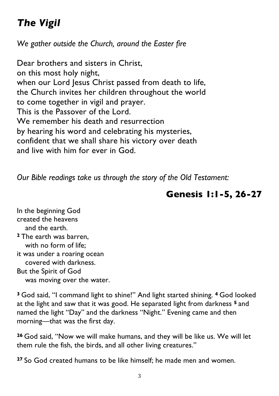# *The Vigil*

*We gather outside the Church, around the Easter fire*

Dear brothers and sisters in Christ, on this most holy night, when our Lord Jesus Christ passed from death to life, the Church invites her children throughout the world to come together in vigil and prayer. This is the Passover of the Lord. We remember his death and resurrection by hearing his word and celebrating his mysteries, confident that we shall share his victory over death and live with him for ever in God.

*Our Bible readings take us through the story of the Old Testament:*

## **Genesis 1:1-5, 26-27**

In the beginning God created the heavens and the earth. **<sup>2</sup>** The earth was barren, with no form of life; it was under a roaring ocean covered with darkness. But the Spirit of God was moving over the water.

**<sup>3</sup>** God said, "I command light to shine!" And light started shining. **<sup>4</sup>** God looked at the light and saw that it was good. He separated light from darkness **<sup>5</sup>** and named the light "Day" and the darkness "Night." Evening came and then morning—that was the first day.

**<sup>26</sup>** God said, "Now we will make humans, and they will be like us. We will let them rule the fish, the birds, and all other living creatures."

**<sup>27</sup>** So God created humans to be like himself; he made men and women.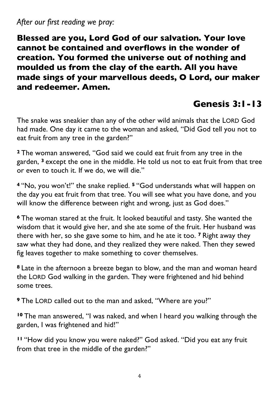#### *After our first reading we pray:*

**Blessed are you, Lord God of our salvation. Your love cannot be contained and overflows in the wonder of creation. You formed the universe out of nothing and moulded us from the clay of the earth. All you have made sings of your marvellous deeds, O Lord, our maker and redeemer. Amen.** 

## **Genesis 3:1-13**

The snake was sneakier than any of the other wild animals that the LORD God had made. One day it came to the woman and asked, "Did God tell you not to eat fruit from any tree in the garden?"

**<sup>2</sup>** The woman answered, "God said we could eat fruit from any tree in the garden, **<sup>3</sup>** except the one in the middle. He told us not to eat fruit from that tree or even to touch it. If we do, we will die."

**<sup>4</sup>** "No, you won't!" the snake replied. **<sup>5</sup>** "God understands what will happen on the day you eat fruit from that tree. You will see what you have done, and you will know the difference between right and wrong, just as God does."

**<sup>6</sup>** The woman stared at the fruit. It looked beautiful and tasty. She wanted the wisdom that it would give her, and she ate some of the fruit. Her husband was there with her, so she gave some to him, and he ate it too. **<sup>7</sup>** Right away they saw what they had done, and they realized they were naked. Then they sewed fig leaves together to make something to cover themselves.

**<sup>8</sup>** Late in the afternoon a breeze began to blow, and the man and woman heard the LORD God walking in the garden. They were frightened and hid behind some trees.

**<sup>9</sup>** The LORD called out to the man and asked, "Where are you?"

**<sup>10</sup>** The man answered, "I was naked, and when I heard you walking through the garden, I was frightened and hid!"

**<sup>11</sup>** "How did you know you were naked?" God asked. "Did you eat any fruit from that tree in the middle of the garden?"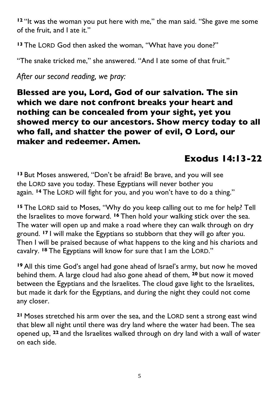**<sup>12</sup>** "It was the woman you put here with me," the man said. "She gave me some of the fruit, and I ate it."

**<sup>13</sup>** The LORD God then asked the woman, "What have you done?"

"The snake tricked me," she answered. "And I ate some of that fruit."

*After our second reading, we pray:* 

**Blessed are you, Lord, God of our salvation. The sin which we dare not confront breaks your heart and nothing can be concealed from your sight, yet you showed mercy to our ancestors. Show mercy today to all who fall, and shatter the power of evil, O Lord, our maker and redeemer. Amen.** 

## **Exodus 14:13-22**

**<sup>13</sup>** But Moses answered, "Don't be afraid! Be brave, and you will see the LORD save you today. These Egyptians will never bother you again. **<sup>14</sup>** The LORD will fight for you, and you won't have to do a thing."

**<sup>15</sup>** The LORD said to Moses, "Why do you keep calling out to me for help? Tell the Israelites to move forward. **<sup>16</sup>** Then hold your walking stick over the sea. The water will open up and make a road where they can walk through on dry ground. **<sup>17</sup>** I will make the Egyptians so stubborn that they will go after you. Then I will be praised because of what happens to the king and his chariots and cavalry. **<sup>18</sup>** The Egyptians will know for sure that I am the LORD."

**<sup>19</sup>** All this time God's angel had gone ahead of Israel's army, but now he moved behind them. A large cloud had also gone ahead of them, **<sup>20</sup>** but now it moved between the Egyptians and the Israelites. The cloud gave light to the Israelites, but made it dark for the Egyptians, and during the night they could not come any closer.

**<sup>21</sup>** Moses stretched his arm over the sea, and the LORD sent a strong east wind that blew all night until there was dry land where the water had been. The sea opened up, **<sup>22</sup>** and the Israelites walked through on dry land with a wall of water on each side.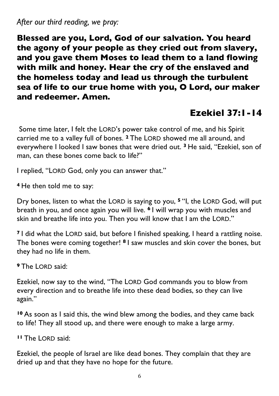*After our third reading, we pray:* 

**Blessed are you, Lord, God of our salvation. You heard the agony of your people as they cried out from slavery, and you gave them Moses to lead them to a land flowing with milk and honey. Hear the cry of the enslaved and the homeless today and lead us through the turbulent sea of life to our true home with you, O Lord, our maker and redeemer. Amen.** 

## **Ezekiel 37:1-14**

Some time later, I felt the LORD's power take control of me, and his Spirit carried me to a valley full of bones. **<sup>2</sup>** The LORD showed me all around, and everywhere I looked I saw bones that were dried out. **<sup>3</sup>** He said, "Ezekiel, son of man, can these bones come back to life?"

I replied, "LORD God, only you can answer that."

**<sup>4</sup>** He then told me to say:

Dry bones, listen to what the LORD is saying to you, **<sup>5</sup>** "I, the LORD God, will put breath in you, and once again you will live. **<sup>6</sup>** I will wrap you with muscles and skin and breathe life into you. Then you will know that I am the LORD."

**<sup>7</sup>** I did what the LORD said, but before I finished speaking, I heard a rattling noise. The bones were coming together! **<sup>8</sup>** I saw muscles and skin cover the bones, but they had no life in them.

**<sup>9</sup>** The LORD said:

Ezekiel, now say to the wind, "The LORD God commands you to blow from every direction and to breathe life into these dead bodies, so they can live again."

**<sup>10</sup>** As soon as I said this, the wind blew among the bodies, and they came back to life! They all stood up, and there were enough to make a large army.

**<sup>11</sup>** The LORD said:

Ezekiel, the people of Israel are like dead bones. They complain that they are dried up and that they have no hope for the future.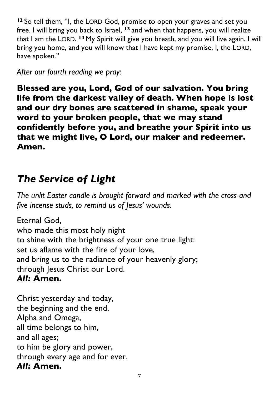**<sup>12</sup>** So tell them, "I, the LORD God, promise to open your graves and set you free. I will bring you back to Israel, **<sup>13</sup>** and when that happens, you will realize that I am the LORD. **<sup>14</sup>** My Spirit will give you breath, and you will live again. I will bring you home, and you will know that I have kept my promise. I, the LORD, have spoken."

#### *After our fourth reading we pray:*

**Blessed are you, Lord, God of our salvation. You bring life from the darkest valley of death. When hope is lost and our dry bones are scattered in shame, speak your word to your broken people, that we may stand confidently before you, and breathe your Spirit into us that we might live, O Lord, our maker and redeemer. Amen.** 

## *The Service of Light*

*The unlit Easter candle is brought forward and marked with the cross and five incense studs, to remind us of Jesus' wounds.*

Eternal God, who made this most holy night to shine with the brightness of your one true light: set us aflame with the fire of your love, and bring us to the radiance of your heavenly glory; through Jesus Christ our Lord.

#### *All:* **Amen.**

Christ yesterday and today, the beginning and the end, Alpha and Omega, all time belongs to him, and all ages; to him be glory and power, through every age and for ever. *All:* **Amen.**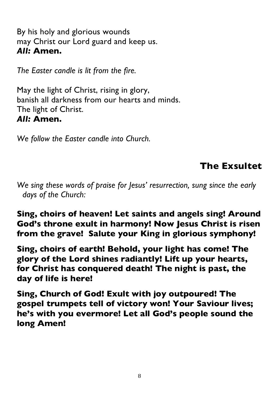By his holy and glorious wounds may Christ our Lord guard and keep us. *All:* **Amen.**

*The Easter candle is lit from the fire.*

May the light of Christ, rising in glory, banish all darkness from our hearts and minds. The light of Christ. *All:* **Amen.**

*We follow the Easter candle into Church.*

## **The Exsultet**

*We sing these words of praise for Jesus' resurrection, sung since the early days of the Church:*

#### **Sing, choirs of heaven! Let saints and angels sing! Around God's throne exult in harmony! Now Jesus Christ is risen from the grave! Salute your King in glorious symphony!**

**Sing, choirs of earth! Behold, your light has come! The glory of the Lord shines radiantly! Lift up your hearts, for Christ has conquered death! The night is past, the day of life is here!** 

**Sing, Church of God! Exult with joy outpoured! The gospel trumpets tell of victory won! Your Saviour lives; he's with you evermore! Let all God's people sound the long Amen!**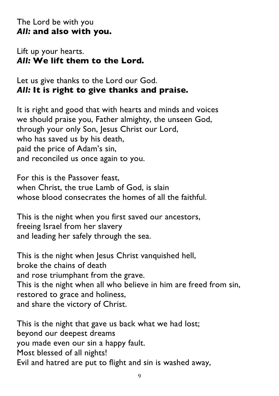#### The Lord be with you *All:* **and also with you.**

#### Lift up your hearts. *All:* **We lift them to the Lord.**

#### Let us give thanks to the Lord our God. *All:* **It is right to give thanks and praise.**

It is right and good that with hearts and minds and voices we should praise you, Father almighty, the unseen God, through your only Son, Jesus Christ our Lord, who has saved us by his death, paid the price of Adam's sin, and reconciled us once again to you.

For this is the Passover feast, when Christ, the true Lamb of God, is slain whose blood consecrates the homes of all the faithful.

This is the night when you first saved our ancestors, freeing Israel from her slavery and leading her safely through the sea.

This is the night when Jesus Christ vanquished hell, broke the chains of death and rose triumphant from the grave. This is the night when all who believe in him are freed from sin, restored to grace and holiness, and share the victory of Christ.

This is the night that gave us back what we had lost; beyond our deepest dreams you made even our sin a happy fault. Most blessed of all nights! Evil and hatred are put to flight and sin is washed away,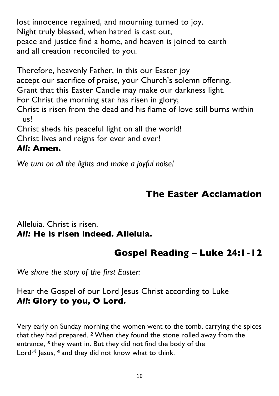lost innocence regained, and mourning turned to joy. Night truly blessed, when hatred is cast out, peace and justice find a home, and heaven is joined to earth and all creation reconciled to you.

Therefore, heavenly Father, in this our Easter joy accept our sacrifice of praise, your Church's solemn offering. Grant that this Easter Candle may make our darkness light. For Christ the morning star has risen in glory; Christ is risen from the dead and his flame of love still burns within us! Christ sheds his peaceful light on all the world! Christ lives and reigns for ever and ever! *All:* **Amen.**

*We turn on all the lights and make a joyful noise!*

### **The Easter Acclamation**

#### Alleluia. Christ is risen. *All:* **He is risen indeed. Alleluia.**

## **Gospel Reading – Luke 24:1-12**

*We share the story of the first Easter:*

#### Hear the Gospel of our Lord Jesus Christ according to Luke *All***: Glory to you, O Lord.**

Very early on Sunday morning the women went to the tomb, carrying the spices that they had prepared. **<sup>2</sup>** When they found the stone rolled away from the entrance, **<sup>3</sup>** they went in. But they did not find the body of the Lord<sup>[a]</sup> Jesus, <sup>4</sup> and they did not know what to think.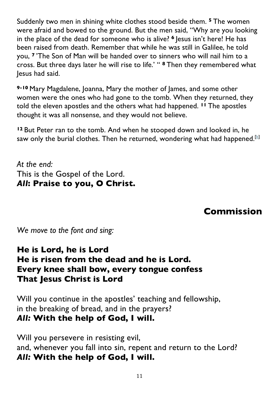Suddenly two men in shining white clothes stood beside them. **<sup>5</sup>** The women were afraid and bowed to the ground. But the men said, "Why are you looking in the place of the dead for someone who is alive? **<sup>6</sup>** Jesus isn't here! He has been raised from death. Remember that while he was still in Galilee, he told you, **<sup>7</sup>** 'The Son of Man will be handed over to sinners who will nail him to a cross. But three days later he will rise to life.' " **<sup>8</sup>** Then they remembered what Jesus had said.

**9-10** Mary Magdalene, Joanna, Mary the mother of James, and some other women were the ones who had gone to the tomb. When they returned, they told the eleven apostles and the others what had happened. **<sup>11</sup>** The apostles thought it was all nonsense, and they would not believe.

**<sup>12</sup>** But Peter ran to the tomb. And when he stooped down and looked in, he saw only the burial clothes. Then he returned, wondering what had happened.<sup>[b]</sup>

*At the end:* This is the Gospel of the Lord. *All***: Praise to you, O Christ.**

## **Commission**

*We move to the font and sing:*

#### **He is Lord, he is Lord He is risen from the dead and he is Lord. Every knee shall bow, every tongue confess That Jesus Christ is Lord**

Will you continue in the apostles' teaching and fellowship, in the breaking of bread, and in the prayers? *All:* **With the help of God, I will.**

Will you persevere in resisting evil, and, whenever you fall into sin, repent and return to the Lord? *All:* **With the help of God, I will.**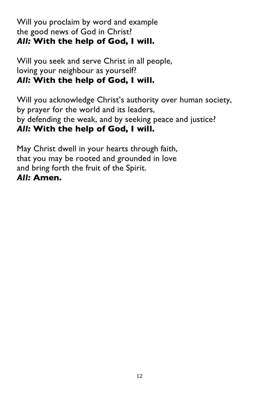#### Will you proclaim by word and example the good news of God in Christ? *All:* **With the help of God, I will.**

Will you seek and serve Christ in all people, loving your neighbour as yourself? *All:* **With the help of God, I will.**

Will you acknowledge Christ's authority over human society, by prayer for the world and its leaders, by defending the weak, and by seeking peace and justice? *All:* **With the help of God, I will.**

May Christ dwell in your hearts through faith, that you may be rooted and grounded in love and bring forth the fruit of the Spirit. *All:* **Amen.**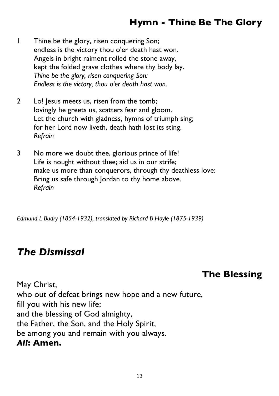## **Hymn - Thine Be The Glory**

- 1 Thine be the glory, risen conquering Son; endless is the victory thou o'er death hast won. Angels in bright raiment rolled the stone away, kept the folded grave clothes where thy body lay. *Thine be the glory, risen conquering Son: Endless is the victory, thou o'er death hast won.*
- 2 Lo! Jesus meets us, risen from the tomb; lovingly he greets us, scatters fear and gloom. Let the church with gladness, hymns of triumph sing; for her Lord now liveth, death hath lost its sting. *Refrain*
- 3 No more we doubt thee, glorious prince of life! Life is nought without thee; aid us in our strife; make us more than conquerors, through thy deathless love: Bring us safe through Jordan to thy home above. *Refrain*

*Edmund L Budry (1854-1932), translated by Richard B Hoyle (1875-1939)*

## *The Dismissal*

## **The Blessing**

May Christ, who out of defeat brings new hope and a new future, fill you with his new life; and the blessing of God almighty, the Father, the Son, and the Holy Spirit, be among you and remain with you always. *All***: Amen.**